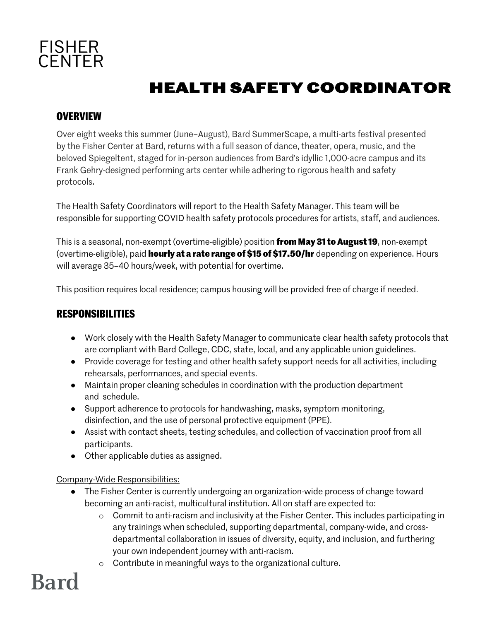

### **HEALTH SAFETY COORDINATOR**

#### **OVERVIEW**

Over eight weeks this summer (June–August), Bard SummerScape, a multi-arts festival presented by the Fisher Center at Bard, returns with a full season of dance, theater, opera, music, and the beloved Spiegeltent, staged for in-person audiences from Bard's idyllic 1,000-acre campus and its Frank Gehry-designed performing arts center while adhering to rigorous health and safety protocols.

The Health Safety Coordinators will report to the Health Safety Manager. This team will be responsible for supporting COVID health safety protocols procedures for artists, staff, and audiences.

This is a seasonal, non-exempt (overtime-eligible) position **from May 31 to August 19**, non-exempt (overtime-eligible), paid **hourly at a rate range of \$15 of \$17.50/hr** depending on experience. Hours will average 35–40 hours/week, with potential for overtime.

This position requires local residence; campus housing will be provided free of charge if needed.

#### **RESPONSIBILITIES**

- Work closely with the Health Safety Manager to communicate clear health safety protocols that are compliant with Bard College, CDC, state, local, and any applicable union guidelines.
- Provide coverage for testing and other health safety support needs for all activities, including rehearsals, performances, and special events.
- Maintain proper cleaning schedules in coordination with the production department and schedule.
- Support adherence to protocols for handwashing, masks, symptom monitoring, disinfection, and the use of personal protective equipment (PPE).
- Assist with contact sheets, testing schedules, and collection of vaccination proof from all participants.
- Other applicable duties as assigned.

Company-Wide Responsibilities:

- The Fisher Center is currently undergoing an organization-wide process of change toward becoming an anti-racist, multicultural institution. All on staff are expected to:
	- o Commit to anti-racism and inclusivity at the Fisher Center. This includes participating in any trainings when scheduled, supporting departmental, company-wide, and crossdepartmental collaboration in issues of diversity, equity, and inclusion, and furthering your own independent journey with anti-racism.
	- o Contribute in meaningful ways to the organizational culture.

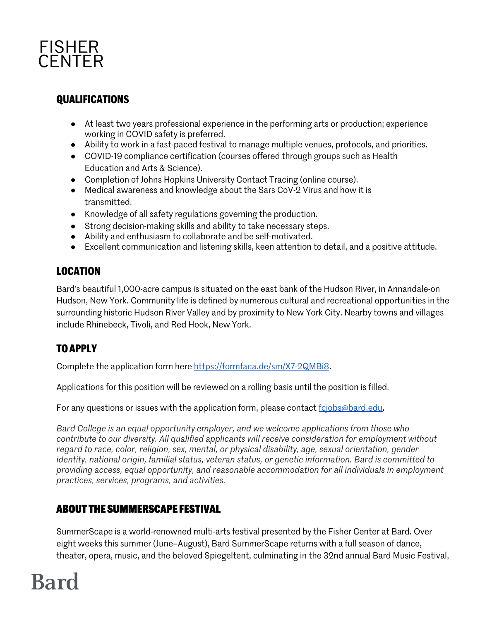

#### **QUALIFICATIONS**

- At least two years professional experience in the performing arts or production; experience working in COVID safety is preferred.
- Ability to work in a fast-paced festival to manage multiple venues, protocols, and priorities.
- COVID-19 compliance certification (courses offered through groups such as Health Education and Arts & Science).
- Completion of Johns Hopkins University Contact Tracing (online course).
- Medical awareness and knowledge about the Sars CoV-2 Virus and how it is transmitted.
- Knowledge of all safety regulations governing the production.
- Strong decision-making skills and ability to take necessary steps.
- Ability and enthusiasm to collaborate and be self-motivated.
- Excellent communication and listening skills, keen attention to detail, and a positive attitude.

#### **LOCATION**

Bard's beautiful 1,000-acre campus is situated on the east bank of the Hudson River, in Annandale-on Hudson, New York. Community life is defined by numerous cultural and recreational opportunities in the surrounding historic Hudson River Valley and by proximity to New York City. Nearby towns and villages include Rhinebeck, Tivoli, and Red Hook, New York.

### **TO APPLY**

Complete the application form here https://formfaca.de/sm/X7-2QMBi8.

Applications for this position will be reviewed on a rolling basis until the position is filled.

For any questions or issues with the application form, please contact fcjobs@bard.edu.

*Bard College is an equal opportunity employer, and we welcome applications from those who contribute to our diversity. All qualified applicants will receive consideration for employment without regard to race, color, religion, sex, mental, or physical disability, age, sexual orientation, gender identity, national origin, familial status, veteran status, or genetic information. Bard is committed to providing access, equal opportunity, and reasonable accommodation for all individuals in employment practices, services, programs, and activities.*

#### **ABOUT THE SUMMERSCAPE FESTIVAL**

SummerScape is a world-renowned multi-arts festival presented by the Fisher Center at Bard. Over eight weeks this summer (June–August), Bard SummerScape returns with a full season of dance, theater, opera, music, and the beloved Spiegeltent, culminating in the 32nd annual Bard Music Festival,

# **Bard**